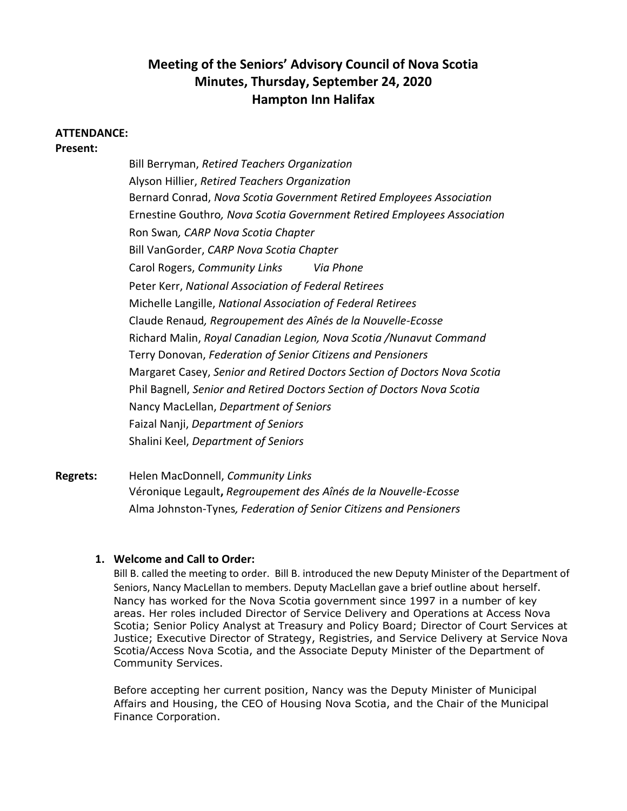# **Meeting of the Seniors' Advisory Council of Nova Scotia Minutes, Thursday, September 24, 2020 Hampton Inn Halifax**

#### **ATTENDANCE:**

**Present:**

Bill Berryman, *Retired Teachers Organization* Alyson Hillier, *Retired Teachers Organization* Bernard Conrad, *Nova Scotia Government Retired Employees Association* Ernestine Gouthro*, Nova Scotia Government Retired Employees Association* Ron Swan*, CARP Nova Scotia Chapter* Bill VanGorder, *CARP Nova Scotia Chapter* Carol Rogers, *Community Links Via Phone* Peter Kerr, *National Association of Federal Retirees* Michelle Langille, *National Association of Federal Retirees*  Claude Renaud*, Regroupement des Aînés de la Nouvelle-Ecosse* Richard Malin, *Royal Canadian Legion, Nova Scotia /Nunavut Command* Terry Donovan, *Federation of Senior Citizens and Pensioners* Margaret Casey, *Senior and Retired Doctors Section of Doctors Nova Scotia* Phil Bagnell, *Senior and Retired Doctors Section of Doctors Nova Scotia*  Nancy MacLellan, *Department of Seniors* Faizal Nanji, *Department of Seniors* Shalini Keel, *Department of Seniors*

**Regrets:** Helen MacDonnell, *Community Links* Véronique Legault**,** *Regroupement des Aînés de la Nouvelle-Ecosse* Alma Johnston-Tynes*, Federation of Senior Citizens and Pensioners*

### **1. Welcome and Call to Order:**

Bill B. called the meeting to order. Bill B. introduced the new Deputy Minister of the Department of Seniors, Nancy MacLellan to members. Deputy MacLellan gave a brief outline about herself. Nancy has worked for the Nova Scotia government since 1997 in a number of key areas. Her roles included Director of Service Delivery and Operations at Access Nova Scotia; Senior Policy Analyst at Treasury and Policy Board; Director of Court Services at Justice; Executive Director of Strategy, Registries, and Service Delivery at Service Nova Scotia/Access Nova Scotia, and the Associate Deputy Minister of the Department of Community Services.

Before accepting her current position, Nancy was the Deputy Minister of Municipal Affairs and Housing, the CEO of Housing Nova Scotia, and the Chair of the Municipal Finance Corporation.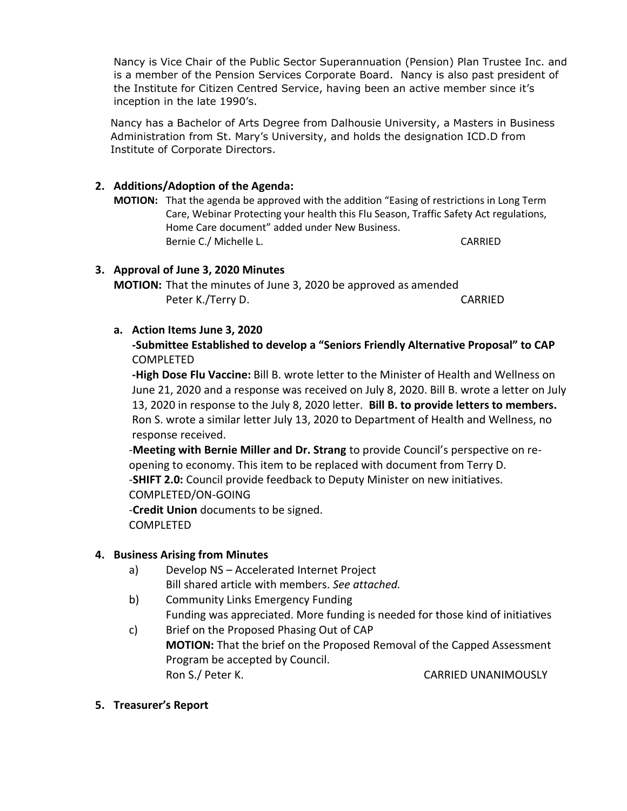Nancy is Vice Chair of the Public Sector Superannuation (Pension) Plan Trustee Inc. and is a member of the Pension Services Corporate Board. Nancy is also past president of the Institute for Citizen Centred Service, having been an active member since it's inception in the late 1990's.

Nancy has a Bachelor of Arts Degree from Dalhousie University, a Masters in Business Administration from St. Mary's University, and holds the designation ICD.D from Institute of Corporate Directors.

# **2. Additions/Adoption of the Agenda:**

**MOTION:** That the agenda be approved with the addition "Easing of restrictions in Long Term Care, Webinar Protecting your health this Flu Season, Traffic Safety Act regulations, Home Care document" added under New Business. Bernie C./ Michelle L. CARRIED

# **3. Approval of June 3, 2020 Minutes**

**MOTION:** That the minutes of June 3, 2020 be approved as amended Peter K./Terry D. CARRIED

# **a. Action Items June 3, 2020**

**-Submittee Established to develop a "Seniors Friendly Alternative Proposal" to CAP** COMPLETED

**-High Dose Flu Vaccine:** Bill B. wrote letter to the Minister of Health and Wellness on June 21, 2020 and a response was received on July 8, 2020. Bill B. wrote a letter on July 13, 2020 in response to the July 8, 2020 letter. **Bill B. to provide letters to members.** Ron S. wrote a similar letter July 13, 2020 to Department of Health and Wellness, no response received.

-**Meeting with Bernie Miller and Dr. Strang** to provide Council's perspective on reopening to economy. This item to be replaced with document from Terry D. -**SHIFT 2.0:** Council provide feedback to Deputy Minister on new initiatives. COMPLETED/ON-GOING -**Credit Union** documents to be signed. COMPLETED

# **4. Business Arising from Minutes**

- a) Develop NS Accelerated Internet Project Bill shared article with members. *See attached.*
- b) Community Links Emergency Funding Funding was appreciated. More funding is needed for those kind of initiatives
- c) Brief on the Proposed Phasing Out of CAP **MOTION:** That the brief on the Proposed Removal of the Capped Assessment Program be accepted by Council. Ron S./ Peter K. CARRIED UNANIMOUSLY
- **5. Treasurer's Report**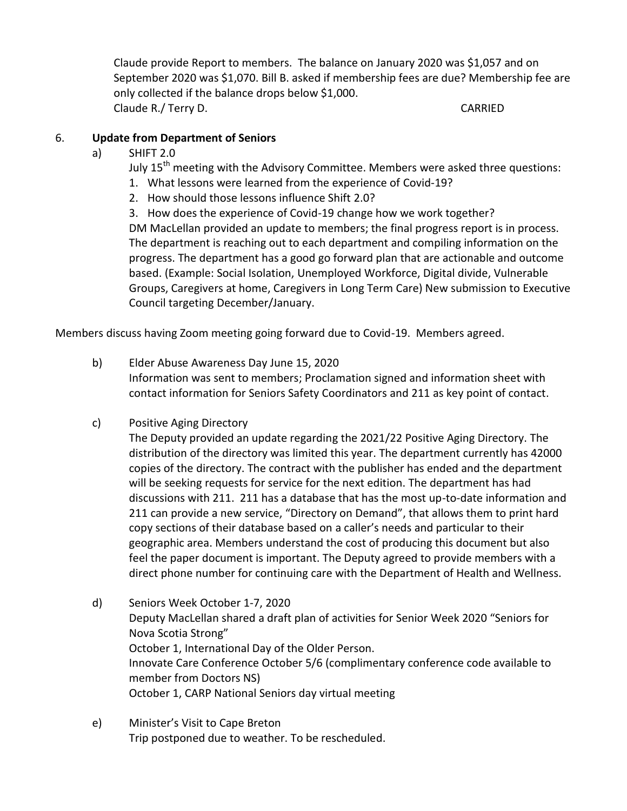Claude provide Report to members. The balance on January 2020 was \$1,057 and on September 2020 was \$1,070. Bill B. asked if membership fees are due? Membership fee are only collected if the balance drops below \$1,000. Claude R./ Terry D. CARRIED

# 6. **Update from Department of Seniors**

a) SHIFT 2.0

July  $15<sup>th</sup>$  meeting with the Advisory Committee. Members were asked three questions:

- 1. What lessons were learned from the experience of Covid-19?
- 2. How should those lessons influence Shift 2.0?

3. How does the experience of Covid-19 change how we work together?

DM MacLellan provided an update to members; the final progress report is in process. The department is reaching out to each department and compiling information on the progress. The department has a good go forward plan that are actionable and outcome based. (Example: Social Isolation, Unemployed Workforce, Digital divide, Vulnerable Groups, Caregivers at home, Caregivers in Long Term Care) New submission to Executive Council targeting December/January.

Members discuss having Zoom meeting going forward due to Covid-19. Members agreed.

b) Elder Abuse Awareness Day June 15, 2020

Information was sent to members; Proclamation signed and information sheet with contact information for Seniors Safety Coordinators and 211 as key point of contact.

c) Positive Aging Directory

The Deputy provided an update regarding the 2021/22 Positive Aging Directory. The distribution of the directory was limited this year. The department currently has 42000 copies of the directory. The contract with the publisher has ended and the department will be seeking requests for service for the next edition. The department has had discussions with 211. 211 has a database that has the most up-to-date information and 211 can provide a new service, "Directory on Demand", that allows them to print hard copy sections of their database based on a caller's needs and particular to their geographic area. Members understand the cost of producing this document but also feel the paper document is important. The Deputy agreed to provide members with a direct phone number for continuing care with the Department of Health and Wellness.

- d) Seniors Week October 1-7, 2020 Deputy MacLellan shared a draft plan of activities for Senior Week 2020 "Seniors for Nova Scotia Strong" October 1, International Day of the Older Person. Innovate Care Conference October 5/6 (complimentary conference code available to member from Doctors NS) October 1, CARP National Seniors day virtual meeting
- e) Minister's Visit to Cape Breton Trip postponed due to weather. To be rescheduled.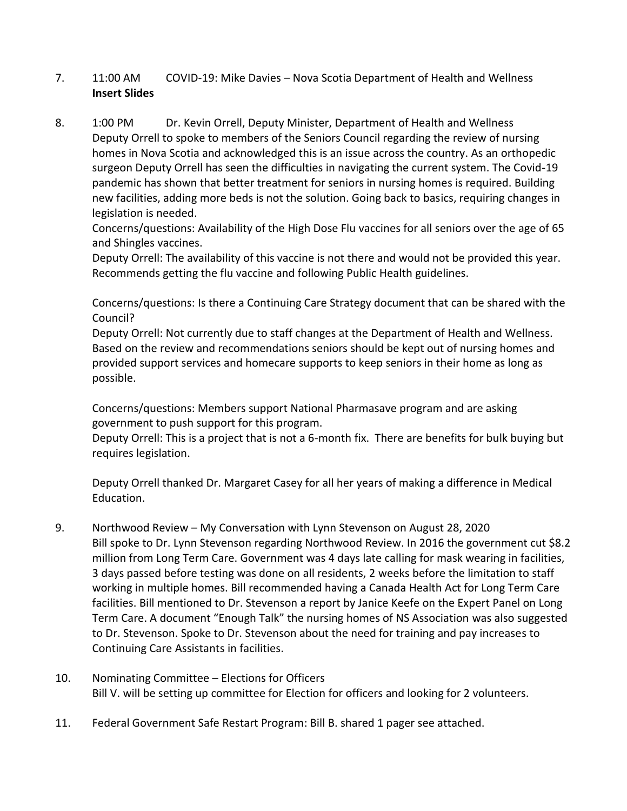# 7. 11:00 AM COVID-19: Mike Davies – Nova Scotia Department of Health and Wellness **Insert Slides**

8. 1:00 PM Dr. Kevin Orrell, Deputy Minister, Department of Health and Wellness Deputy Orrell to spoke to members of the Seniors Council regarding the review of nursing homes in Nova Scotia and acknowledged this is an issue across the country. As an orthopedic surgeon Deputy Orrell has seen the difficulties in navigating the current system. The Covid-19 pandemic has shown that better treatment for seniors in nursing homes is required. Building new facilities, adding more beds is not the solution. Going back to basics, requiring changes in legislation is needed.

Concerns/questions: Availability of the High Dose Flu vaccines for all seniors over the age of 65 and Shingles vaccines.

Deputy Orrell: The availability of this vaccine is not there and would not be provided this year. Recommends getting the flu vaccine and following Public Health guidelines.

Concerns/questions: Is there a Continuing Care Strategy document that can be shared with the Council?

Deputy Orrell: Not currently due to staff changes at the Department of Health and Wellness. Based on the review and recommendations seniors should be kept out of nursing homes and provided support services and homecare supports to keep seniors in their home as long as possible.

Concerns/questions: Members support National Pharmasave program and are asking government to push support for this program.

Deputy Orrell: This is a project that is not a 6-month fix. There are benefits for bulk buying but requires legislation.

Deputy Orrell thanked Dr. Margaret Casey for all her years of making a difference in Medical Education.

- 9. Northwood Review My Conversation with Lynn Stevenson on August 28, 2020 Bill spoke to Dr. Lynn Stevenson regarding Northwood Review. In 2016 the government cut \$8.2 million from Long Term Care. Government was 4 days late calling for mask wearing in facilities, 3 days passed before testing was done on all residents, 2 weeks before the limitation to staff working in multiple homes. Bill recommended having a Canada Health Act for Long Term Care facilities. Bill mentioned to Dr. Stevenson a report by Janice Keefe on the Expert Panel on Long Term Care. A document "Enough Talk" the nursing homes of NS Association was also suggested to Dr. Stevenson. Spoke to Dr. Stevenson about the need for training and pay increases to Continuing Care Assistants in facilities.
- 10. Nominating Committee Elections for Officers Bill V. will be setting up committee for Election for officers and looking for 2 volunteers.
- 11. Federal Government Safe Restart Program: Bill B. shared 1 pager see attached.